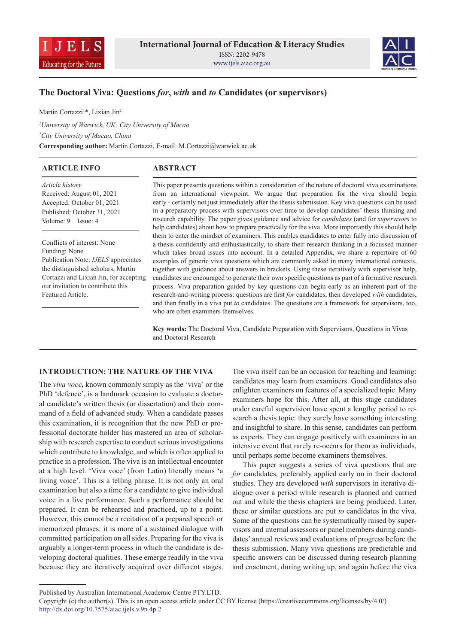



# **The Doctoral Viva: Questions** *for***,** *with* **and** *to* **Candidates (or supervisors)**

Martin Cortazzi1 \*, Lixian Jin2

*1 University of Warwick, UK; City University of Macao 2 City University of Macao, China* **Corresponding author:** Martin Cortazzi, E-mail: M.Cortazzi@warwick.ac.uk

# **ABSTRACT ARTICLE INFO**

*Article history* Received: August 01, 2021 Accepted: October 01, 2021 Published: October 31, 2021 Volume: 9 Issue: 4

Conflicts of interest: None Funding: None Publication Note: *IJELS* appreciates the distinguished scholars, Martin Cortazzi and Lixian Jin, for accepting our invitation to contribute this Featured Article.

This paper presents questions within a consideration of the nature of doctoral viva examinations from an international viewpoint. We argue that preparation for the viva should begin early - certainly not just immediately after the thesis submission. Key viva questions can be used in a preparatory process with supervisors over time to develop candidates' thesis thinking and research capability. The paper gives guidance and advice for *candidates* (and for *supervisors* to help candidates) about how to prepare practically for the viva. More importantly this should help them to enter the mindset of examiners. This enables candidates to enter fully into discussion of a thesis confidently and enthusiastically, to share their research thinking in a focussed manner which takes broad issues into account. In a detailed Appendix, we share a repertoire of 60 examples of generic viva questions which are commonly asked in many international contexts, together with guidance about answers in brackets. Using these iteratively with supervisor help, candidates are encouraged to generate their own specific questions as part of a formative research process. Viva preparation guided by key questions can begin early as an inherent part of the research-and-writing process: questions are first *for* candidates, then developed *with* candidates, and then finally in a viva put *to* candidates. The questions are a framework for supervisors, too, who are often examiners themselves.

**Key words:** The Doctoral Viva, Candidate Preparation with Supervisors, Questions in Vivas and Doctoral Research

### **INTRODUCTION: THE NATURE OF THE VIVA**

The *viva voce***,** known commonly simply as the 'viva' or the PhD 'defence', is a landmark occasion to evaluate a doctoral candidate's written thesis (or dissertation) and their command of a field of advanced study. When a candidate passes this examination, it is recognition that the new PhD or professional doctorate holder has mastered an area of scholarship with research expertise to conduct serious investigations which contribute to knowledge, and which is often applied to practice in a profession. The viva is an intellectual encounter at a high level. 'Viva voce' (from Latin) literally means 'a living voice'. This is a telling phrase. It is not only an oral examination but also a time for a candidate to give individual voice in a live performance. Such a performance should be prepared. It can be rehearsed and practiced, up to a point. However, this cannot be a recitation of a prepared speech or memorized phrases: it is more of a sustained dialogue with committed participation on all sides. Preparing for the viva is arguably a longer-term process in which the candidate is developing doctoral qualities. These emerge readily in the viva because they are iteratively acquired over different stages.

The viva itself can be an occasion for teaching and learning: candidates may learn from examiners. Good candidates also enlighten examiners on features of a specialized topic. Many examiners hope for this. After all, at this stage candidates under careful supervision have spent a lengthy period to research a thesis topic: they surely have something interesting and insightful to share. In this sense, candidates can perform as experts. They can engage positively with examiners in an intensive event that rarely re-occurs for them as individuals, until perhaps some become examiners themselves.

This paper suggests a series of viva questions that are *for* candidates, preferably applied early on in their doctoral studies. They are developed *with* supervisors in iterative dialogue over a period while research is planned and carried out and while the thesis chapters are being produced. Later, these or similar questions are put *to* candidates in the viva. Some of the questions can be systematically raised by supervisors and internal assessors or panel members during candidates' annual reviews and evaluations of progress before the thesis submission. Many viva questions are predictable and specific answers can be discussed during research planning and enactment, during writing up, and again before the viva

Published by Australian International Academic Centre PTY.LTD.

Copyright (c) the author(s). This is an open access article under CC BY license (https://creativecommons.org/licenses/by/4.0/) http://dx.doi.org/10.7575/aiac.ijels.v.9n.4p.2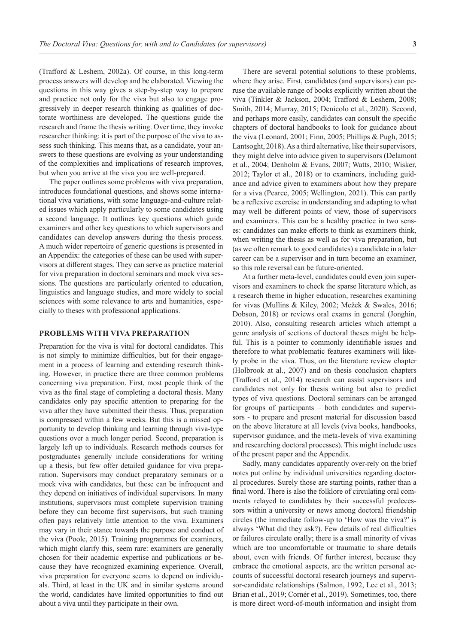(Trafford & Leshem, 2002a). Of course, in this long-term process answers will develop and be elaborated. Viewing the questions in this way gives a step-by-step way to prepare and practice not only for the viva but also to engage progressively in deeper research thinking as qualities of doctorate worthiness are developed. The questions guide the research and frame the thesis writing. Over time, they invoke researcher thinking: it is part of the purpose of the viva to assess such thinking. This means that, as a candidate, your answers to these questions are evolving as your understanding of the complexities and implications of research improves, but when you arrive at the viva you are well-prepared.

The paper outlines some problems with viva preparation, introduces foundational questions, and shows some international viva variations, with some language-and-culture related issues which apply particularly to some candidates using a second language. It outlines key questions which guide examiners and other key questions to which supervisors and candidates can develop answers during the thesis process. A much wider repertoire of generic questions is presented in an Appendix: the categories of these can be used with supervisors at different stages. They can serve as practice material for viva preparation in doctoral seminars and mock viva sessions. The questions are particularly oriented to education, linguistics and language studies, and more widely to social sciences with some relevance to arts and humanities, especially to theses with professional applications.

#### **PROBLEMS WITH VIVA PREPARATION**

Preparation for the viva is vital for doctoral candidates. This is not simply to minimize difficulties, but for their engagement in a process of learning and extending research thinking. However, in practice there are three common problems concerning viva preparation. First, most people think of the viva as the final stage of completing a doctoral thesis. Many candidates only pay specific attention to preparing for the viva after they have submitted their thesis. Thus, preparation is compressed within a few weeks. But this is a missed opportunity to develop thinking and learning through viva-type questions over a much longer period. Second, preparation is largely left up to individuals. Research methods courses for postgraduates generally include considerations for writing up a thesis, but few offer detailed guidance for viva preparation. Supervisors may conduct preparatory seminars or a mock viva with candidates, but these can be infrequent and they depend on initiatives of individual supervisors. In many institutions, supervisors must complete supervision training before they can become first supervisors, but such training often pays relatively little attention to the viva. Examiners may vary in their stance towards the purpose and conduct of the viva (Poole, 2015). Training programmes for examiners, which might clarify this, seem rare: examiners are generally chosen for their academic expertise and publications or because they have recognized examining experience. Overall, viva preparation for everyone seems to depend on individuals. Third, at least in the UK and in similar systems around the world, candidates have limited opportunities to find out about a viva until they participate in their own.

There are several potential solutions to these problems, where they arise. First, candidates (and supervisors) can peruse the available range of books explicitly written about the viva (Tinkler & Jackson, 2004; Trafford & Leshem, 2008; Smith, 2014; Murray, 2015; Denicolo et al., 2020). Second, and perhaps more easily, candidates can consult the specific chapters of doctoral handbooks to look for guidance about the viva (Leonard, 2001; Finn, 2005; Phillips & Pugh, 2015; Lantsoght, 2018). As a third alternative, like their supervisors, they might delve into advice given to supervisors (Delamont et al., 2004; Denholm & Evans, 2007; Watts, 2010; Wisker, 2012; Taylor et al., 2018) or to examiners, including guidance and advice given to examiners about how they prepare for a viva (Pearce, 2005; Wellington, 2021). This can partly be a reflexive exercise in understanding and adapting to what may well be different points of view, those of supervisors and examiners. This can be a healthy practice in two senses: candidates can make efforts to think as examiners think, when writing the thesis as well as for viva preparation, but (as we often remark to good candidates) a candidate in a later career can be a supervisor and in turn become an examiner, so this role reversal can be future-oriented.

At a further meta-level, candidates could even join supervisors and examiners to check the sparse literature which, as a research theme in higher education, researches examining for vivas (Mullins & Kiley, 2002; Mežek & Swales, 2016; Dobson, 2018) or reviews oral exams in general (Jonghin, 2010). Also, consulting research articles which attempt a genre analysis of sections of doctoral theses might be helpful. This is a pointer to commonly identifiable issues and therefore to what problematic features examiners will likely probe in the viva. Thus, on the literature review chapter (Holbrook at al., 2007) and on thesis conclusion chapters (Trafford et al., 2014) research can assist supervisors and candidates not only for thesis writing but also to predict types of viva questions. Doctoral seminars can be arranged for groups of participants – both candidates and supervisors - to prepare and present material for discussion based on the above literature at all levels (viva books, handbooks, supervisor guidance, and the meta-levels of viva examining and researching doctoral processes). This might include uses of the present paper and the Appendix.

Sadly, many candidates apparently over-rely on the brief notes put online by individual universities regarding doctoral procedures. Surely those are starting points, rather than a final word. There is also the folklore of circulating oral comments relayed to candidates by their successful predecessors within a university or news among doctoral friendship circles (the immediate follow-up to 'How was the viva?' is always 'What did they ask?). Few details of real difficulties or failures circulate orally; there is a small minority of vivas which are too uncomfortable or traumatic to share details about, even with friends. Of further interest, because they embrace the emotional aspects, are the written personal accounts of successful doctoral research journeys and supervisor-candidate relationships (Salmon, 1992, Lee et al., 2013; Brian et al., 2019; Cornér et al., 2019). Sometimes, too, there is more direct word-of-mouth information and insight from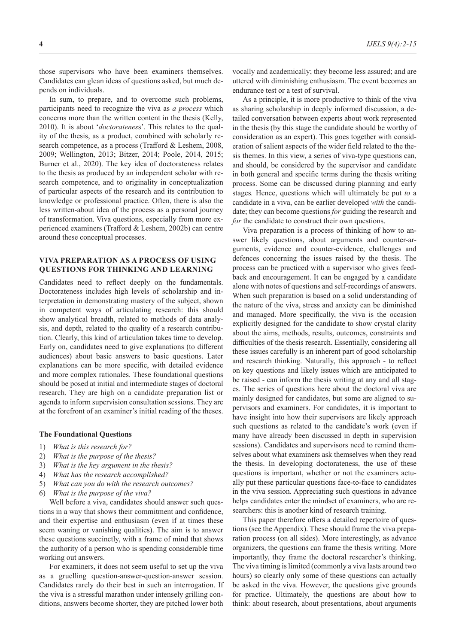those supervisors who have been examiners themselves. Candidates can glean ideas of questions asked, but much depends on individuals.

In sum, to prepare, and to overcome such problems, participants need to recognize the viva as *a process* which concerns more than the written content in the thesis (Kelly, 2010). It is about '*doctoratenes*s'. This relates to the quality of the thesis, as a product, combined with scholarly research competence, as a process (Trafford & Leshem, 2008, 2009; Wellington, 2013; Bitzer, 2014; Poole, 2014, 2015; Burner et al., 2020). The key idea of doctorateness relates to the thesis as produced by an independent scholar with research competence, and to originality in conceptualization of particular aspects of the research and its contribution to knowledge or professional practice. Often, there is also the less written-about idea of the process as a personal journey of transformation. Viva questions, especially from more experienced examiners (Trafford & Leshem, 2002b) can centre around these conceptual processes.

## **VIVA PREPARATION AS A PROCESS OF USING QUESTIONS FOR THINKING AND LEARNING**

Candidates need to reflect deeply on the fundamentals. Doctorateness includes high levels of scholarship and interpretation in demonstrating mastery of the subject, shown in competent ways of articulating research: this should show analytical breadth, related to methods of data analysis, and depth, related to the quality of a research contribution. Clearly, this kind of articulation takes time to develop. Early on, candidates need to give explanations (to different audiences) about basic answers to basic questions. Later explanations can be more specific, with detailed evidence and more complex rationales. These foundational questions should be posed at initial and intermediate stages of doctoral research. They are high on a candidate preparation list or agenda to inform supervision consultation sessions. They are at the forefront of an examiner's initial reading of the theses.

#### **The Foundational Questions**

- 1) *What is this research for?*
- 2) *What is the purpose of the thesis?*
- 3) *What is the key argument in the thesis?*
- 4) *What has the research accomplished?*
- 5) *What can you do with the research outcomes?*
- 6) *What is the purpose of the viva?*

Well before a viva, candidates should answer such questions in a way that shows their commitment and confidence, and their expertise and enthusiasm (even if at times these seem waning or vanishing qualities). The aim is to answer these questions succinctly, with a frame of mind that shows the authority of a person who is spending considerable time working out answers.

For examiners, it does not seem useful to set up the viva as a gruelling question-answer-question-answer session. Candidates rarely do their best in such an interrogation. If the viva is a stressful marathon under intensely grilling conditions, answers become shorter, they are pitched lower both

vocally and academically; they become less assured; and are uttered with diminishing enthusiasm. The event becomes an endurance test or a test of survival.

As a principle, it is more productive to think of the viva as sharing scholarship in deeply informed discussion, a detailed conversation between experts about work represented in the thesis (by this stage the candidate should be worthy of consideration as an expert). This goes together with consideration of salient aspects of the wider field related to the thesis themes. In this view, a series of viva-type questions can, and should, be considered by the supervisor and candidate in both general and specific terms during the thesis writing process. Some can be discussed during planning and early stages*.* Hence, questions which will ultimately be put *to* a candidate in a viva, can be earlier developed *with* the candidate; they can become questions *for* guiding the research and for the candidate to construct their own questions.

Viva preparation is a process of thinking of how to answer likely questions, about arguments and counter-arguments, evidence and counter-evidence, challenges and defences concerning the issues raised by the thesis. The process can be practiced with a supervisor who gives feedback and encouragement. It can be engaged by a candidate alone with notes of questions and self-recordings of answers. When such preparation is based on a solid understanding of the nature of the viva, stress and anxiety can be diminished and managed. More specifically, the viva is the occasion explicitly designed for the candidate to show crystal clarity about the aims, methods, results, outcomes, constraints and difficulties of the thesis research. Essentially, considering all these issues carefully is an inherent part of good scholarship and research thinking. Naturally, this approach - to reflect on key questions and likely issues which are anticipated to be raised - can inform the thesis writing at any and all stages. The series of questions here about the doctoral viva are mainly designed for candidates, but some are aligned to supervisors and examiners. For candidates, it is important to have insight into how their supervisors are likely approach such questions as related to the candidate's work (even if many have already been discussed in depth in supervision sessions). Candidates and supervisors need to remind themselves about what examiners ask themselves when they read the thesis. In developing doctorateness, the use of these questions is important, whether or not the examiners actually put these particular questions face-to-face to candidates in the viva session. Appreciating such questions in advance helps candidates enter the mindset of examiners, who are researchers: this is another kind of research training.

This paper therefore offers a detailed repertoire of questions (see the Appendix). These should frame the viva preparation process (on all sides). More interestingly, as advance organizers, the questions can frame the thesis writing. More importantly, they frame the doctoral researcher's thinking. The viva timing is limited (commonly a viva lasts around two hours) so clearly only some of these questions can actually be asked in the viva. However, the questions give grounds for practice. Ultimately, the questions are about how to think: about research, about presentations, about arguments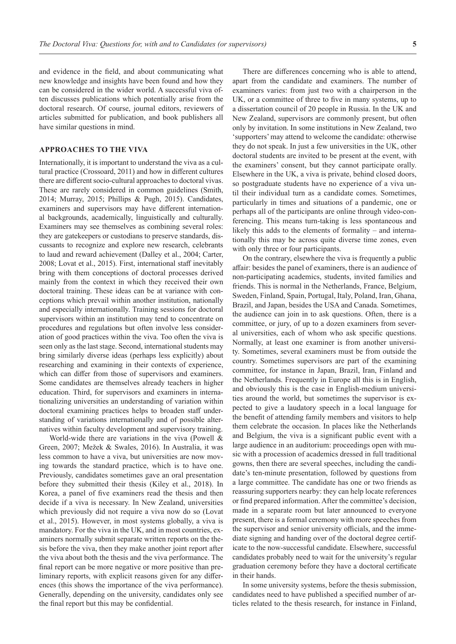and evidence in the field, and about communicating what new knowledge and insights have been found and how they can be considered in the wider world. A successful viva often discusses publications which potentially arise from the doctoral research. Of course, journal editors, reviewers of articles submitted for publication, and book publishers all have similar questions in mind.

#### **APPROACHES TO THE VIVA**

Internationally, it is important to understand the viva as a cultural practice (Crossoard, 2011) and how in different cultures there are different socio-cultural approaches to doctoral vivas. These are rarely considered in common guidelines (Smith, 2014; Murray, 2015; Phillips & Pugh, 2015). Candidates, examiners and supervisors may have different international backgrounds, academically, linguistically and culturally. Examiners may see themselves as combining several roles: they are gatekeepers or custodians to preserve standards, discussants to recognize and explore new research, celebrants to laud and reward achievement (Dalley et al., 2004; Carter, 2008; Lovat et al., 2015). First, international staff inevitably bring with them conceptions of doctoral processes derived mainly from the context in which they received their own doctoral training. These ideas can be at variance with conceptions which prevail within another institution, nationally and especially internationally. Training sessions for doctoral supervisors within an institution may tend to concentrate on procedures and regulations but often involve less consideration of good practices within the viva. Too often the viva is seen only as the last stage. Second, international students may bring similarly diverse ideas (perhaps less explicitly) about researching and examining in their contexts of experience, which can differ from those of supervisors and examiners. Some candidates are themselves already teachers in higher education. Third, for supervisors and examiners in internationalizing universities an understanding of variation within doctoral examining practices helps to broaden staff understanding of variations internationally and of possible alternatives within faculty development and supervisory training.

World-wide there are variations in the viva (Powell & Green, 2007; Mežek & Swales, 2016). In Australia, it was less common to have a viva, but universities are now moving towards the standard practice, which is to have one. Previously, candidates sometimes gave an oral presentation before they submitted their thesis (Kiley et al., 2018). In Korea, a panel of five examiners read the thesis and then decide if a viva is necessary. In New Zealand, universities which previously did not require a viva now do so (Lovat et al., 2015). However, in most systems globally, a viva is mandatory. For the viva in the UK, and in most countries, examiners normally submit separate written reports on the thesis before the viva, then they make another joint report after the viva about both the thesis and the viva performance. The final report can be more negative or more positive than preliminary reports, with explicit reasons given for any differences (this shows the importance of the viva performance). Generally, depending on the university, candidates only see the final report but this may be confidential.

There are differences concerning who is able to attend, apart from the candidate and examiners. The number of examiners varies: from just two with a chairperson in the UK, or a committee of three to five in many systems, up to a dissertation council of 20 people in Russia. In the UK and New Zealand, supervisors are commonly present, but often only by invitation. In some institutions in New Zealand, two 'supporters' may attend to welcome the candidate: otherwise they do not speak. In just a few universities in the UK, other doctoral students are invited to be present at the event, with the examiners' consent, but they cannot participate orally. Elsewhere in the UK, a viva is private, behind closed doors, so postgraduate students have no experience of a viva until their individual turn as a candidate comes. Sometimes, particularly in times and situations of a pandemic, one or perhaps all of the participants are online through video-conferencing. This means turn-taking is less spontaneous and likely this adds to the elements of formality – and internationally this may be across quite diverse time zones, even with only three or four participants.

On the contrary, elsewhere the viva is frequently a public affair: besides the panel of examiners, there is an audience of non-participating academics, students, invited families and friends. This is normal in the Netherlands, France, Belgium, Sweden, Finland, Spain, Portugal, Italy, Poland, Iran, Ghana, Brazil, and Japan, besides the USA and Canada. Sometimes, the audience can join in to ask questions. Often, there is a committee, or jury, of up to a dozen examiners from several universities, each of whom who ask specific questions. Normally, at least one examiner is from another university. Sometimes, several examiners must be from outside the country. Sometimes supervisors are part of the examining committee, for instance in Japan, Brazil, Iran, Finland and the Netherlands. Frequently in Europe all this is in English, and obviously this is the case in English-medium universities around the world, but sometimes the supervisor is expected to give a laudatory speech in a local language for the benefit of attending family members and visitors to help them celebrate the occasion. In places like the Netherlands and Belgium, the viva is a significant public event with a large audience in an auditorium: proceedings open with music with a procession of academics dressed in full traditional gowns, then there are several speeches, including the candidate's ten-minute presentation, followed by questions from a large committee. The candidate has one or two friends as reassuring supporters nearby: they can help locate references or find prepared information. After the committee's decision, made in a separate room but later announced to everyone present, there is a formal ceremony with more speeches from the supervisor and senior university officials, and the immediate signing and handing over of the doctoral degree certificate to the now-successful candidate. Elsewhere, successful candidates probably need to wait for the university's regular graduation ceremony before they have a doctoral certificate in their hands.

In some university systems, before the thesis submission, candidates need to have published a specified number of articles related to the thesis research, for instance in Finland,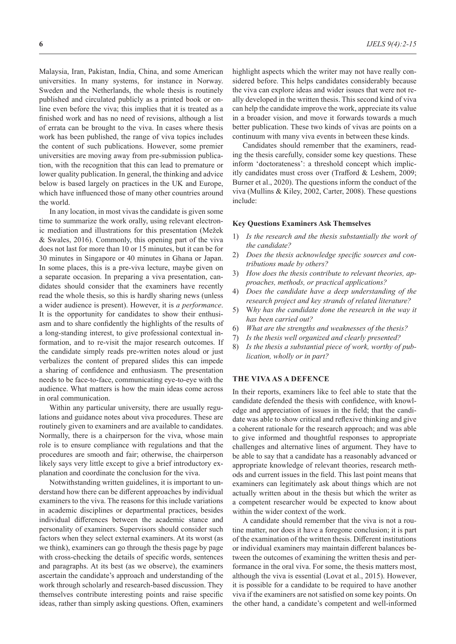Malaysia, Iran, Pakistan, India, China, and some American universities. In many systems, for instance in Norway. Sweden and the Netherlands, the whole thesis is routinely published and circulated publicly as a printed book or online even before the viva; this implies that it is treated as a finished work and has no need of revisions, although a list of errata can be brought to the viva. In cases where thesis work has been published, the range of viva topics includes the content of such publications. However, some premier universities are moving away from pre-submission publication, with the recognition that this can lead to premature or lower quality publication. In general, the thinking and advice below is based largely on practices in the UK and Europe, which have influenced those of many other countries around the world.

In any location, in most vivas the candidate is given some time to summarize the work orally, using relevant electronic mediation and illustrations for this presentation (Mežek & Swales, 2016). Commonly, this opening part of the viva does not last for more than 10 or 15 minutes, but it can be for 30 minutes in Singapore or 40 minutes in Ghana or Japan. In some places, this is a pre-viva lecture, maybe given on a separate occasion. In preparing a viva presentation, candidates should consider that the examiners have recently read the whole thesis, so this is hardly sharing news (unless a wider audience is present). However, it is *a performance*. It is the opportunity for candidates to show their enthusiasm and to share confidently the highlights of the results of a long-standing interest, to give professional contextual information, and to re-visit the major research outcomes. If the candidate simply reads pre-written notes aloud or just verbalizes the content of prepared slides this can impede a sharing of confidence and enthusiasm. The presentation needs to be face-to-face, communicating eye-to-eye with the audience. What matters is how the main ideas come across in oral communication.

Within any particular university, there are usually regulations and guidance notes about viva procedures. These are routinely given to examiners and are available to candidates. Normally, there is a chairperson for the viva, whose main role is to ensure compliance with regulations and that the procedures are smooth and fair; otherwise, the chairperson likely says very little except to give a brief introductory explanation and coordinate the conclusion for the viva.

Notwithstanding written guidelines, it is important to understand how there can be different approaches by individual examiners to the viva. The reasons for this include variations in academic disciplines or departmental practices, besides individual differences between the academic stance and personality of examiners. Supervisors should consider such factors when they select external examiners. At its worst (as we think), examiners can go through the thesis page by page with cross-checking the details of specific words, sentences and paragraphs. At its best (as we observe), the examiners ascertain the candidate's approach and understanding of the work through scholarly and research-based discussion. They themselves contribute interesting points and raise specific ideas, rather than simply asking questions. Often, examiners

highlight aspects which the writer may not have really considered before. This helps candidates considerably because the viva can explore ideas and wider issues that were not really developed in the written thesis. This second kind of viva can help the candidate improve the work, appreciate its value in a broader vision, and move it forwards towards a much better publication. These two kinds of vivas are points on a continuum with many viva events in between these kinds.

Candidates should remember that the examiners, reading the thesis carefully, consider some key questions. These inform 'doctorateness': a threshold concept which implicitly candidates must cross over (Trafford & Leshem, 2009; Burner et al., 2020). The questions inform the conduct of the viva (Mullins & Kiley, 2002, Carter, 2008). These questions include:

#### **Key Questions Examiners Ask Themselves**

- 1) *Is the research and the thesis substantially the work of the candidate?*
- 2) *Does the thesis acknowledge specific sources and contributions made by others?*
- 3) *How does the thesis contribute to relevant theories, approaches, methods, or practical applications?*
- 4) *Does the candidate have a deep understanding of the research project and key strands of related literature?*
- 5) W*hy has the candidate done the research in the way it has been carried out?*
- 6) *What are the strengths and weaknesses of the thesis?*
- 7) *Is the thesis well organized and clearly presented?*
- 8) *Is the thesis a substantial piece of work, worthy of publication, wholly or in part?*

#### **THE VIVA AS A DEFENCE**

In their reports, examiners like to feel able to state that the candidate defended the thesis with confidence, with knowledge and appreciation of issues in the field; that the candidate was able to show critical and reflexive thinking and give a coherent rationale for the research approach; and was able to give informed and thoughtful responses to appropriate challenges and alternative lines of argument. They have to be able to say that a candidate has a reasonably advanced or appropriate knowledge of relevant theories, research methods and current issues in the field. This last point means that examiners can legitimately ask about things which are not actually written about in the thesis but which the writer as a competent researcher would be expected to know about within the wider context of the work.

A candidate should remember that the viva is not a routine matter, nor does it have a foregone conclusion; it is part of the examination of the written thesis. Different institutions or individual examiners may maintain different balances between the outcomes of examining the written thesis and performance in the oral viva. For some, the thesis matters most, although the viva is essential (Lovat et al., 2015). However, it is possible for a candidate to be required to have another viva if the examiners are not satisfied on some key points. On the other hand, a candidate's competent and well-informed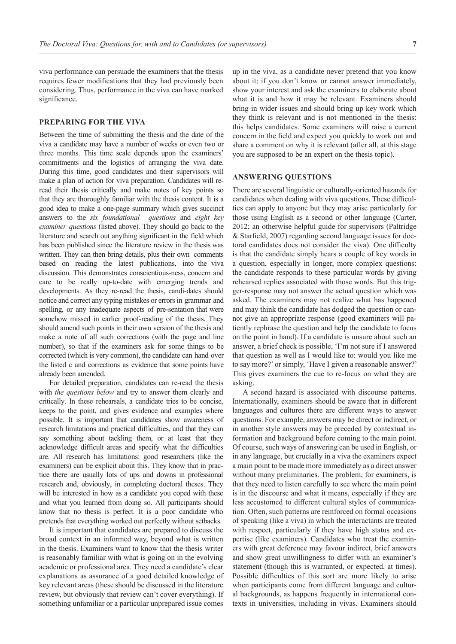viva performance can persuade the examiners that the thesis requires fewer modifications that they had previously been considering. Thus, performance in the viva can have marked significance.

#### **PREPARING FOR THE VIVA**

Between the time of submitting the thesis and the date of the viva a candidate may have a number of weeks or even two or three months. This time scale depends upon the examiners' commitments and the logistics of arranging the viva date. During this time, good candidates and their supervisors will make a plan of action for viva preparation. Candidates will reread their thesis critically and make notes of key points so that they are thoroughly familiar with the thesis content. It is a good idea to make a one-page summary which gives succinct answers to the *six foundational questions* and *eight key examiner questions* (listed above). They should go back to the literature and search out anything significant in the field which has been published since the literature review in the thesis was written. They can then bring details, plus their own comments based on reading the latest publications, into the viva discussion. This demonstrates conscientious-ness, concern and care to be really up-to-date with emerging trends and developments. As they re-read the thesis, candi-dates should notice and correct any typing mistakes or errors in grammar and spelling, or any inadequate aspects of pre-sentation that were somehow missed in earlier proof-reading of the thesis. They should amend such points in their own version of the thesis and make a note of all such corrections (with the page and line number), so that if the examiners ask for some things to be corrected (which is very common), the candidate can hand over the listed c and corrections as evidence that some points have already been amended.

For detailed preparation, candidates can re-read the thesis with *the questions below* and try to answer them clearly and critically. In these rehearsals, a candidate tries to be concise, keeps to the point, and gives evidence and examples where possible. It is important that candidates show awareness of research limitations and practical difficulties, and that they can say something about tackling them, or at least that they acknowledge difficult areas and specify what the difficulties are. All research has limitations: good researchers (like the examiners) can be explicit about this. They know that in practice there are usually lots of ups and downs in professional research and, obviously, in completing doctoral theses. They will be interested in how as a candidate you coped with these and what you learned from doing so. All participants should know that no thesis is perfect. It is a poor candidate who pretends that everything worked out perfectly without setbacks.

It is important that candidates are prepared to discuss the broad context in an informed way, beyond what is written in the thesis. Examiners want to know that the thesis writer is reasonably familiar with what is going on in the evolving academic or professional area. They need a candidate's clear explanations as assurance of a good detailed knowledge of key relevant areas (these should be discussed in the literature review, but obviously that review can't cover everything). If something unfamiliar or a particular unprepared issue comes

up in the viva, as a candidate never pretend that you know about it; if you don't know or cannot answer immediately, show your interest and ask the examiners to elaborate about what it is and how it may be relevant. Examiners should bring in wider issues and should bring up key work which they think is relevant and is not mentioned in the thesis: this helps candidates. Some examiners will raise a current concern in the field and expect you quickly to work out and share a comment on why it is relevant (after all, at this stage you are supposed to be an expert on the thesis topic).

#### **ANSWERING QUESTIONS**

There are several linguistic or culturally-oriented hazards for candidates when dealing with viva questions. These difficulties can apply to anyone but they may arise particularly for those using English as a second or other language (Carter, 2012; an otherwise helpful guide for supervisors (Paltridge & Starfield, 2007) regarding second language issues for doctoral candidates does not consider the viva). One difficulty is that the candidate simply hears a couple of key words in a question, especially in longer, more complex questions: the candidate responds to these particular words by giving rehearsed replies associated with those words. But this trigger-response may not answer the actual question which was asked. The examiners may not realize what has happened and may think the candidate has dodged the question or cannot give an appropriate response (good examiners will patiently rephrase the question and help the candidate to focus on the point in hand). If a candidate is unsure about such an answer, a brief check is possible, 'I'm not sure if I answered that question as well as I would like to: would you like me to say more?' or simply, 'Have I given a reasonable answer?' This gives examiners the cue to re-focus on what they are asking.

A second hazard is associated with discourse patterns. Internationally, examiners should be aware that in different languages and cultures there are different ways to answer questions. For example, answers may be direct or indirect, or in another style answers may be preceded by contextual information and background before coming to the main point. Of course, such ways of answering can be used in English, or in any language, but crucially in a viva the examiners expect a main point to be made more immediately as a direct answer without many preliminaries. The problem, for examiners, is that they need to listen carefully to see where the main point is in the discourse and what it means, especially if they are less accustomed to different cultural styles of communication. Often, such patterns are reinforced on formal occasions of speaking (like a viva) in which the interactants are treated with respect, particularly if they have high status and expertise (like examiners). Candidates who treat the examiners with great deference may favour indirect, brief answers and show great unwillingness to differ with an examiner's statement (though this is warranted, or expected, at times). Possible difficulties of this sort are more likely to arise when participants come from different language and cultural backgrounds, as happens frequently in international contexts in universities, including in vivas. Examiners should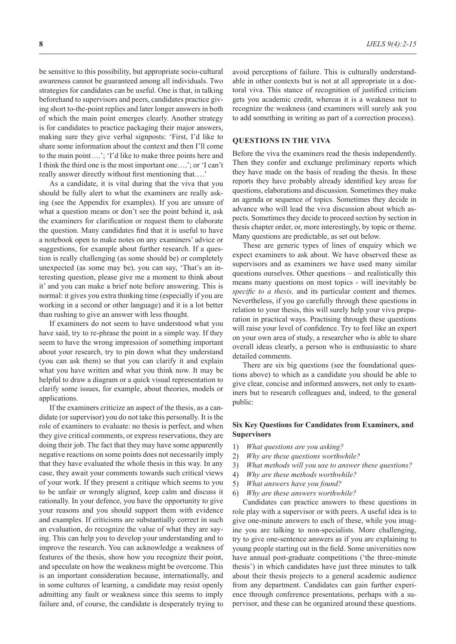be sensitive to this possibility, but appropriate socio-cultural awareness cannot be guaranteed among all individuals. Two strategies for candidates can be useful. One is that, in talking beforehand to supervisors and peers, candidates practice giving short to-the-point replies and later longer answers in both of which the main point emerges clearly. Another strategy is for candidates to practice packaging their major answers, making sure they give verbal signposts: 'First, I'd like to share some information about the context and then I'll come to the main point….'; 'I'd like to make three points here and I think the third one is the most important one….'; or 'I can't really answer directly without first mentioning that….'

As a candidate, it is vital during that the viva that you should be fully alert to what the examiners are really asking (see the Appendix for examples). If you are unsure of what a question means or don't see the point behind it, ask the examiners for clarification or request them to elaborate the question. Many candidates find that it is useful to have a notebook open to make notes on any examiners' advice or suggestions, for example about further research. If a question is really challenging (as some should be) or completely unexpected (as some may be), you can say, 'That's an interesting question, please give me a moment to think about it' and you can make a brief note before answering. This is normal: it gives you extra thinking time (especially if you are working in a second or other language) and it is a lot better than rushing to give an answer with less thought.

If examiners do not seem to have understood what you have said, try to re-phrase the point in a simple way. If they seem to have the wrong impression of something important about your research, try to pin down what they understand (you can ask them) so that you can clarify it and explain what you have written and what you think now. It may be helpful to draw a diagram or a quick visual representation to clarify some issues, for example, about theories, models or applications.

If the examiners criticize an aspect of the thesis, as a candidate (or supervisor) you do not take this personally. It is the role of examiners to evaluate: no thesis is perfect, and when they give critical comments, or express reservations, they are doing their job. The fact that they may have some apparently negative reactions on some points does not necessarily imply that they have evaluated the whole thesis in this way. In any case, they await your comments towards such critical views of your work. If they present a critique which seems to you to be unfair or wrongly aligned, keep calm and discuss it rationally. In your defence, you have the opportunity to give your reasons and you should support them with evidence and examples. If criticisms are substantially correct in such an evaluation, do recognize the value of what they are saying. This can help you to develop your understanding and to improve the research. You can acknowledge a weakness of features of the thesis, show how you recognize their point, and speculate on how the weakness might be overcome. This is an important consideration because, internationally, and in some cultures of learning, a candidate may resist openly admitting any fault or weakness since this seems to imply failure and, of course, the candidate is desperately trying to

avoid perceptions of failure. This is culturally understandable in other contexts but is not at all appropriate in a doctoral viva. This stance of recognition of justified criticism gets you academic credit, whereas it is a weakness not to recognize the weakness (and examiners will surely ask you to add something in writing as part of a correction process).

#### **QUESTIONS IN THE VIVA**

Before the viva the examiners read the thesis independently. Then they confer and exchange preliminary reports which they have made on the basis of reading the thesis. In these reports they have probably already identified key areas for questions, elaborations and discussion. Sometimes they make an agenda or sequence of topics. Sometimes they decide in advance who will lead the viva discussion about which aspects. Sometimes they decide to proceed section by section in thesis chapter order, or, more interestingly, by topic or theme. Many questions are predictable, as set out below.

These are generic types of lines of enquiry which we expect examiners to ask about. We have observed these as supervisors and as examiners we have used many similar questions ourselves. Other questions – and realistically this means many questions on most topics - will inevitably be *specific to a thesis,* and its particular content and themes. Nevertheless, if you go carefully through these questions in relation to your thesis, this will surely help your viva preparation in practical ways. Practising through these questions will raise your level of confidence. Try to feel like an expert on your own area of study, a researcher who is able to share overall ideas clearly, a person who is enthusiastic to share detailed comments.

There are six big questions (see the foundational questions above) to which as a candidate you should be able to give clear, concise and informed answers, not only to examiners but to research colleagues and, indeed, to the general public:

#### **Six Key Questions for Candidates from Examiners, and Supervisors**

- 1) *What questions are you asking?*
- 2) *Why are these questions worthwhile?*
- 3) *What methods will you use to answer these questions?*
- 4) *Why are these methods worthwhile?*
- 5) *What answers have you found?*
- 6) *Why are these answers worthwhile?*

Candidates can practice answers to these questions in role play with a supervisor or with peers. A useful idea is to give one-minute answers to each of these, while you imagine you are talking to non-specialists. More challenging, try to give one-sentence answers as if you are explaining to young people starting out in the field. Some universities now have annual post-graduate competitions ('the three-minute thesis') in which candidates have just three minutes to talk about their thesis projects to a general academic audience from any department. Candidates can gain further experience through conference presentations, perhaps with a supervisor, and these can be organized around these questions.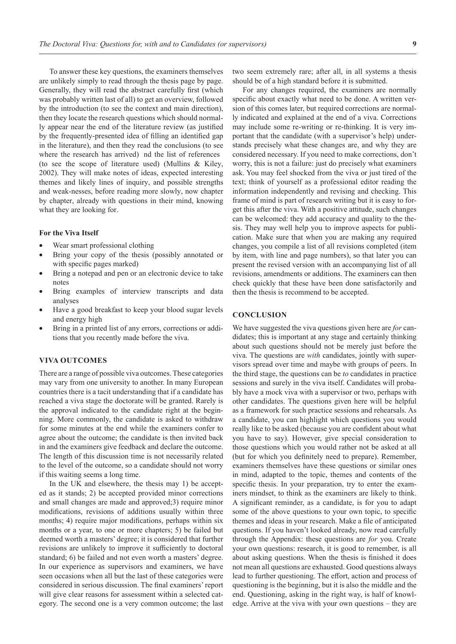To answer these key questions, the examiners themselves are unlikely simply to read through the thesis page by page. Generally, they will read the abstract carefully first (which was probably written last of all) to get an overview, followed by the introduction (to see the context and main direction), then they locate the research questions which should normally appear near the end of the literature review (as justified by the frequently-presented idea of filling an identified gap in the literature), and then they read the conclusions (to see where the research has arrived), and the list of references (to see the scope of literature used) (Mullins & Kiley, 2002). They will make notes of ideas, expected interesting themes and likely lines of inquiry, and possible strengths and weak-nesses, before reading more slowly, now chapter by chapter, already with questions in their mind, knowing what they are looking for.

#### **For the Viva Itself**

- Wear smart professional clothing
- Bring your copy of the thesis (possibly annotated or with specific pages marked)
- Bring a notepad and pen or an electronic device to take notes
- Bring examples of interview transcripts and data analyses
- Have a good breakfast to keep your blood sugar levels and energy high
- Bring in a printed list of any errors, corrections or additions that you recently made before the viva.

#### **VIVA OUTCOMES**

There are a range of possible viva outcomes. These categories may vary from one university to another. In many European countries there is a tacit understanding that if a candidate has reached a viva stage the doctorate will be granted. Rarely is the approval indicated to the candidate right at the beginning. More commonly, the candidate is asked to withdraw for some minutes at the end while the examiners confer to agree about the outcome; the candidate is then invited back in and the examiners give feedback and declare the outcome. The length of this discussion time is not necessarily related to the level of the outcome, so a candidate should not worry if this waiting seems a long time.

In the UK and elsewhere, the thesis may 1) be accepted as it stands; 2) be accepted provided minor corrections and small changes are made and approved;3) require minor modifications, revisions of additions usually within three months; 4) require major modifications, perhaps within six months or a year, to one or more chapters; 5) be failed but deemed worth a masters' degree; it is considered that further revisions are unlikely to improve it sufficiently to doctoral standard; 6) be failed and not even worth a masters' degree. In our experience as supervisors and examiners, we have seen occasions when all but the last of these categories were considered in serious discussion. The final examiners' report will give clear reasons for assessment within a selected category. The second one is a very common outcome; the last

two seem extremely rare; after all, in all systems a thesis should be of a high standard before it is submitted.

For any changes required, the examiners are normally specific about exactly what need to be done. A written version of this comes later, but required corrections are normally indicated and explained at the end of a viva. Corrections may include some re-writing or re-thinking. It is very important that the candidate (with a supervisor's help) understands precisely what these changes are, and why they are considered necessary. If you need to make corrections, don't worry, this is not a failure: just do precisely what examiners ask. You may feel shocked from the viva or just tired of the text; think of yourself as a professional editor reading the information independently and revising and checking. This frame of mind is part of research writing but it is easy to forget this after the viva. With a positive attitude, such changes can be welcomed: they add accuracy and quality to the thesis. They may well help you to improve aspects for publication. Make sure that when you are making any required changes, you compile a list of all revisions completed (item by item, with line and page numbers), so that later you can present the revised version with an accompanying list of all revisions, amendments or additions. The examiners can then check quickly that these have been done satisfactorily and then the thesis is recommend to be accepted.

#### **CONCLUSION**

We have suggested the viva questions given here are *for* candidates; this is important at any stage and certainly thinking about such questions should not be merely just before the viva. The questions are *with* candidates, jointly with supervisors spread over time and maybe with groups of peers. In the third stage, the questions can be *to* candidates in practice sessions and surely in the viva itself. Candidates will probably have a mock viva with a supervisor or two, perhaps with other candidates. The questions given here will be helpful as a framework for such practice sessions and rehearsals. As a candidate, you can highlight which questions you would really like to be asked (because you are confident about what you have to say). However, give special consideration to those questions which you would rather not be asked at all (but for which you definitely need to prepare). Remember, examiners themselves have these questions or similar ones in mind, adapted to the topic, themes and contents of the specific thesis. In your preparation, try to enter the examiners mindset, to think as the examiners are likely to think. A significant reminder, as a candidate, is for you to adapt some of the above questions to your own topic, to specific themes and ideas in your research. Make a file of anticipated questions. If you haven't looked already, now read carefully through the Appendix: these questions are *for* you. Create your own questions: research, it is good to remember, is all about asking questions. When the thesis is finished it does not mean all questions are exhausted. Good questions always lead to further questioning. The effort, action and process of questioning is the beginning, but it is also the middle and the end. Questioning, asking in the right way, is half of knowledge. Arrive at the viva with your own questions – they are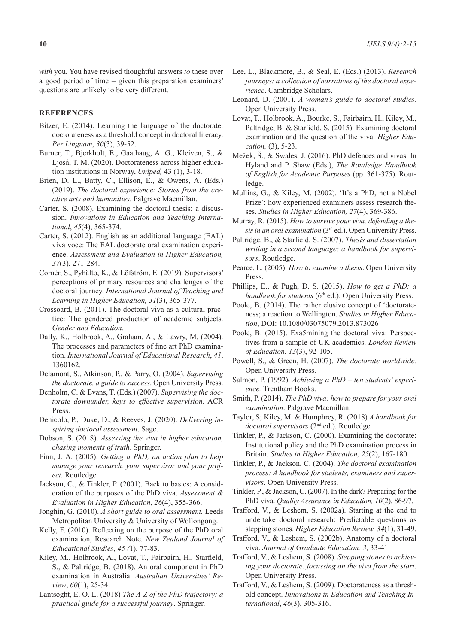*with* you. You have revised thoughtful answers *to* these over a good period of time – given this preparation examiners' questions are unlikely to be very different.

#### **REFERENCES**

- Bitzer, E. (2014). Learning the language of the doctorate: doctorateness as a threshold concept in doctoral literacy. *Per Linguam*, *30*(3), 39-52.
- Burner, T., Bjerkholt, E., Gaathaug, A. G., Kleiven, S., & Ljoså, T. M. (2020). Doctorateness across higher education institutions in Norway, *Uniped,* 43 (1), 3-18.
- Brien, D. L., Batty, C., Ellison, E., & Owens, A. (Eds.) (2019). *The doctoral experience: Stories from the creative arts and humanities*. Palgrave Macmillan.
- Carter, S. (2008). Examining the doctoral thesis: a discussion. *Innovations in Education and Teaching International*, *45*(4), 365-374.
- Carter, S. (2012). English as an additional language (EAL) viva voce: The EAL doctorate oral examination experience. *Assessment and Evaluation in Higher Education, 37*(3), 271-284.
- Cornér, S., Pyhälto, K., & Löfström, E. (2019). Supervisors' perceptions of primary resources and challenges of the doctoral journey. *International Journal of Teaching and Learning in Higher Education, 31*(3), 365-377.
- Crossoard, B. (2011). The doctoral viva as a cultural practice: The gendered production of academic subjects. *Gender and Education.*
- Dally, K., Holbrook, A., Graham, A., & Lawry, M. (2004). The processes and parameters of fine art PhD examination. *International Journal of Educational Research*, *41*, 1360162.
- Delamont, S., Atkinson, P., & Parry, O. (2004). *Supervising the doctorate, a guide to success*. Open University Press.
- Denholm, C. & Evans, T. (Eds.) (2007). *Supervising the doctorate downunder, keys to effective supervision*. ACR Press.
- Denicolo, P., Duke, D., & Reeves, J. (2020). *Delivering inspiring doctoral assessment*. Sage.
- Dobson, S. (2018). *Assessing the viva in higher education, chasing moments of truth*. Springer.
- Finn, J. A. (2005). *Getting a PhD, an action plan to help manage your research, your supervisor and your project.* Routledge.
- Jackson, C., & Tinkler, P. (2001). Back to basics: A consideration of the purposes of the PhD viva. *Assessment & Evaluation in Higher Education*, *26*(4), 355-366.
- Jonghin, G. (2010). *A short guide to oral assessment.* Leeds Metropolitan University & University of Wollongong.
- Kelly, F. (2010). Reflecting on the purpose of the PhD oral examination, Research Note. *New Zealand Journal of Educational Studies*, *45 (*1), 77-83.
- Kiley, M., Holbrook, A., Lovat, T., Fairbairn, H., Starfield, S., & Paltridge, B. (2018). An oral component in PhD examination in Australia. *Australian Universities' Review*, *60*(1), 25-34.
- Lantsoght, E. O. L. (2018) *The A-Z of the PhD trajectory: a practical guide for a successful journey*. Springer.
- Lee, L., Blackmore, B., & Seal, E. (Eds.) (2013). *Research journeys: a collection of narratives of the doctoral experience*. Cambridge Scholars.
- Leonard, D. (2001). *A woman's guide to doctoral studies.*  Open University Press.
- Lovat, T., Holbrook, A., Bourke, S., Fairbairn, H., Kiley, M., Paltridge, B. & Starfield, S. (2015). Examining doctoral examination and the question of the viva. *Higher Education,* (3), 5-23.
- Mežek, Š., & Swales, J. (2016). PhD defences and vivas. In Hyland and P. Shaw (Eds.), *The Routledge Handbook of English for Academic Purposes* (pp. 361-375). Routledge.
- Mullins, G., & Kiley, M. (2002). 'It's a PhD, not a Nobel Prize': how experienced examiners assess research theses. *Studies in Higher Education, 27*(4), 369-386.
- Murray, R. (2015). *How to survive your viva, defending a thesis in an oral examination* (3rd ed.). Open University Press.
- Paltridge, B., & Starfield, S. (2007). *Thesis and dissertation writing in a second language; a handbook for supervisors*. Routledge.
- Pearce, L. (2005). *How to examine a thesis*. Open University Press.
- Phillips, E., & Pugh, D. S. (2015). *How to get a PhD: a handbook for students* (6<sup>th</sup> ed.). Open University Press.
- Poole, B. (2014). The rather elusive concept of 'doctorateness; a reaction to Wellington. *Studies in Higher Education*, DOI: 10.1080/03075079.2013.873026
- Poole, B. (2015). Exa5mining the doctoral viva: Perspectives from a sample of UK academics. *London Review of Education*, *13*(3), 92-105.
- Powell, S., & Green, H. (2007). *The doctorate worldwide.* Open University Press.
- Salmon, P. (1992). *Achieving a PhD ten students' experience.* Trentham Books.
- Smith, P. (2014). *The PhD viva: how to prepare for your oral examination*. Palgrave Macmillan.
- Taylor, S; Kiley, M. & Humphrey, R. (2018) *A handbook for doctoral supervisors* (2nd ed.). Routledge.
- Tinkler, P., & Jackson, C. (2000). Examining the doctorate: Institutional policy and the PhD examination process in Britain. *Studies in Higher Education, 25*(2), 167-180.
- Tinkler, P., & Jackson, C. (2004). *The doctoral examination process: A handbook for students, examiners and supervisors*. Open University Press.
- Tinkler, P., & Jackson, C. (2007). In the dark? Preparing for the PhD viva. *Quality Assurance in Education, 10*(2), 86-97.
- Trafford, V., & Leshem, S. (2002a). Starting at the end to undertake doctoral research: Predictable questions as stepping stones. *Higher Education Review, 34*(1), 31-49.
- Trafford, V., & Leshem, S. (2002b). Anatomy of a doctoral viva. *Journal of Graduate Education, 3*, 33-41
- Trafford, V., & Leshem, S. (2008). *Stepping stones to achieving your doctorate: focussing on the viva from the start*. Open University Press.
- Trafford, V., & Leshem, S. (2009). Doctorateness as a threshold concept. *Innovations in Education and Teaching International*, *46*(3), 305-316.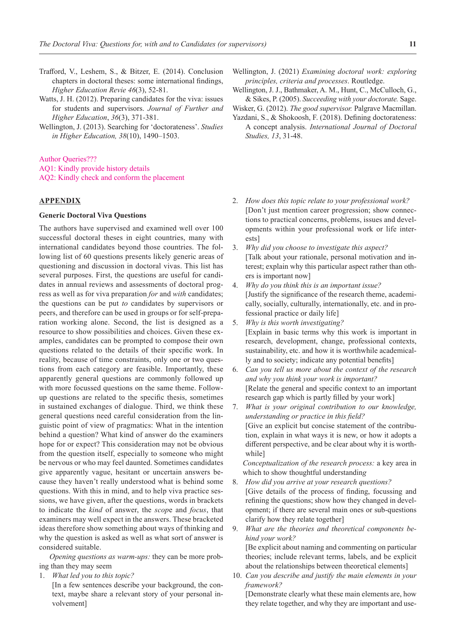- Trafford, V., Leshem, S., & Bitzer, E. (2014). Conclusion chapters in doctoral theses: some international findings,
	- *Higher Education Revie 46*(3), 52-81.
- Watts, J. H. (2012). Preparing candidates for the viva: issues for students and supervisors. *Journal of Further and Higher Education*, *36*(3), 371-381.
- Wellington, J. (2013). Searching for 'doctorateness'. *Studies in Higher Education, 38*(10), 1490–1503.

Author Queries???

AQ1: Kindly provide history details

AQ2: Kindly check and conform the placement

# **APPENDIX**

## **Generic Doctoral Viva Questions**

The authors have supervised and examined well over 100 successful doctoral theses in eight countries, many with international candidates beyond those countries. The following list of 60 questions presents likely generic areas of questioning and discussion in doctoral vivas. This list has several purposes. First, the questions are useful for candidates in annual reviews and assessments of doctoral progress as well as for viva preparation *for* and *with* candidates; the questions can be put *to* candidates by supervisors or peers, and therefore can be used in groups or for self-preparation working alone. Second, the list is designed as a resource to show possibilities and choices. Given these examples, candidates can be prompted to compose their own questions related to the details of their specific work. In reality, because of time constraints, only one or two questions from each category are feasible. Importantly, these apparently general questions are commonly followed up with more focussed questions on the same theme. Followup questions are related to the specific thesis, sometimes in sustained exchanges of dialogue. Third, we think these general questions need careful consideration from the linguistic point of view of pragmatics: What in the intention behind a question? What kind of answer do the examiners hope for or expect? This consideration may not be obvious from the question itself, especially to someone who might be nervous or who may feel daunted. Sometimes candidates give apparently vague, hesitant or uncertain answers because they haven't really understood what is behind some questions. With this in mind, and to help viva practice sessions, we have given, after the questions, words in brackets to indicate the *kind* of answer, the *scop*e and *focus*, that examiners may well expect in the answers. These bracketed ideas therefore show something about ways of thinking and why the question is asked as well as what sort of answer is considered suitable.

*Opening questions as warm-ups:* they can be more probing than they may seem

1. *What led you to this topic?*

[In a few sentences describe your background, the context, maybe share a relevant story of your personal involvement]

- Wellington, J. (2021) *Examining doctoral work: exploring principles, criteria and processes*. Routledge.
- Wellington, J. J., Bathmaker, A. M., Hunt, C., McCulloch, G., & Sikes, P. (2005). *Succeeding with your doctorate.* Sage.

Wisker, G. (2012). *The good supervisor.* Palgrave Macmillan.

- Yazdani, S., & Shokoosh, F. (2018). Defining doctorateness: A concept analysis. *International Journal of Doctoral Studies, 13*, 31-48.
- 2. *How does this topic relate to your professional work?* [Don't just mention career progression; show connections to practical concerns, problems, issues and developments within your professional work or life interests]
- 3. *Why did you choose to investigate this aspect?* [Talk about your rationale, personal motivation and interest; explain why this particular aspect rather than others is important now]
- 4. *Why do you think this is an important issue?* [Justify the significance of the research theme, academically, socially, culturally, internationally, etc. and in professional practice or daily life]
- 5. *Why is this worth investigating?* [Explain in basic terms why this work is important in research, development, change, professional contexts, sustainability, etc. and how it is worthwhile academically and to society; indicate any potential benefits]
- 6. *Can you tell us more about the context of the research and why you think your work is important?* [Relate the general and specific context to an important research gap which is partly filled by your work]
- 7. *What is your original contribution to our knowledge, understanding or practice in this field?* [Give an explicit but concise statement of the contribution, explain in what ways it is new, or how it adopts a different perspective, and be clear about why it is worthwhile]

*Conceptualization of the research process:* a key area in which to show thoughtful understandin*g*

8. *How did you arrive at your research questions?*

[Give details of the process of finding, focussing and refining the questions; show how they changed in development; if there are several main ones or sub-questions clarify how they relate together]

9. *What are the theories and theoretical components behind your work?*

[Be explicit about naming and commenting on particular theories; include relevant terms, labels, and be explicit about the relationships between theoretical elements]

10. *Can you describe and justify the main elements in your framework?*

[Demonstrate clearly what these main elements are, how they relate together, and why they are important and use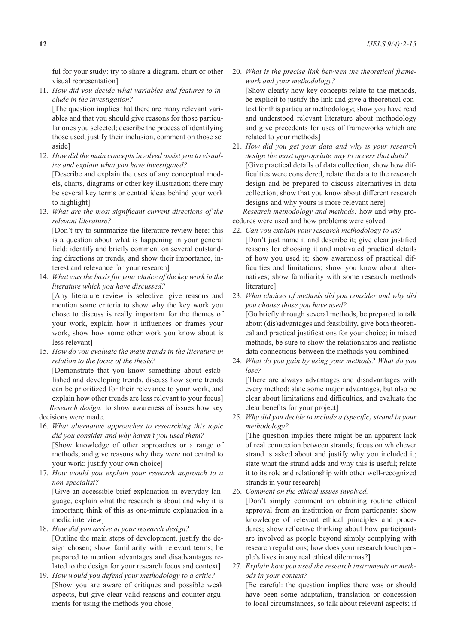ful for your study: try to share a diagram, chart or other visual representation]

11. *How did you decide what variables and features to include in the investigation?*

[The question implies that there are many relevant variables and that you should give reasons for those particular ones you selected; describe the process of identifying those used, justify their inclusion, comment on those set aside]

12. *How did the main concepts involved assist you to visualize and explain what you have investigated?* [Describe and explain the uses of any conceptual mod-

els, charts, diagrams or other key illustration; there may be several key terms or central ideas behind your work to highlight]

13. *What are the most significant current directions of the relevant literature?*

[Don't try to summarize the literature review here: this is a question about what is happening in your general field; identify and briefly comment on several outstanding directions or trends, and show their importance, interest and relevance for your research]

14. *What was the basis for your choice of the key work in the literature which you have discussed?*

[Any literature review is selective: give reasons and mention some criteria to show why the key work you chose to discuss is really important for the themes of your work, explain how it influences or frames your work, show how some other work you know about is less relevant]

15. *How do you evaluate the main trends in the literature in relation to the focus of the thesis?*

[Demonstrate that you know something about established and developing trends, discuss how some trends can be prioritized for their relevance to your work, and explain how other trends are less relevant to your focus] *Research design:* to show awareness of issues how key decisions were made.

- 16. *What alternative approaches to researching this topic did you consider and why haven't you used them?* [Show knowledge of other approaches or a range of methods, and give reasons why they were not central to your work; justify your own choice]
- 17. *How would you explain your research approach to a non-specialist?*

[Give an accessible brief explanation in everyday language, explain what the research is about and why it is important; think of this as one-minute explanation in a media interview]

- 18. *How did you arrive at your research design?* [Outline the main steps of development, justify the design chosen; show familiarity with relevant terms; be prepared to mention advantages and disadvantages related to the design for your research focus and context]
- 19. *How would you defend your methodology to a critic?* [Show you are aware of critiques and possible weak aspects, but give clear valid reasons and counter-arguments for using the methods you chose]

20. *What is the precise link between the theoretical framework and your methodology?*

[Show clearly how key concepts relate to the methods, be explicit to justify the link and give a theoretical context for this particular methodology; show you have read and understood relevant literature about methodology and give precedents for uses of frameworks which are related to your methods]

21. *How did you get your data and why is your research design the most appropriate way to access that data?* [Give practical details of data collection, show how difficulties were considered, relate the data to the research design and be prepared to discuss alternatives in data collection; show that you know about different research designs and why yours is more relevant here]

*Research methodology and methods:* how and why procedures were used and how problems were solved*.*

- 22. *Can you explain your research methodology to us?* [Don't just name it and describe it; give clear justified reasons for choosing it and motivated practical details of how you used it; show awareness of practical difficulties and limitations; show you know about alternatives; show familiarity with some research methods literature]
- 23. *What choices of methods did you consider and why did you choose those you have used?*

[Go briefly through several methods, be prepared to talk about (dis)advantages and feasibility, give both theoretical and practical justifications for your choice; in mixed methods, be sure to show the relationships and realistic data connections between the methods you combined]

24. *What do you gain by using your methods? What do you lose?*

[There are always advantages and disadvantages with every method: state some major advantages, but also be clear about limitations and difficulties, and evaluate the clear benefits for your project]

25. *Why did you decide to include a (specific) strand in your methodology?*

[The question implies there might be an apparent lack of real connection between strands; focus on whichever strand is asked about and justify why you included it; state what the strand adds and why this is useful; relate it to its role and relationship with other well-recognized strands in your research]

26. *Comment on the ethical issues involved.*

[Don't simply comment on obtaining routine ethical approval from an institution or from particpants: show knowledge of relevant ethical principles and procedures; show reflective thinking about how participants are involved as people beyond simply complying with research regulations; how does your research touch people's lives in any real ethical dilemmas?]

27. *Explain how you used the research instruments or methods in your context?*

[Be careful: the question implies there was or should have been some adaptation, translation or concession to local circumstances, so talk about relevant aspects; if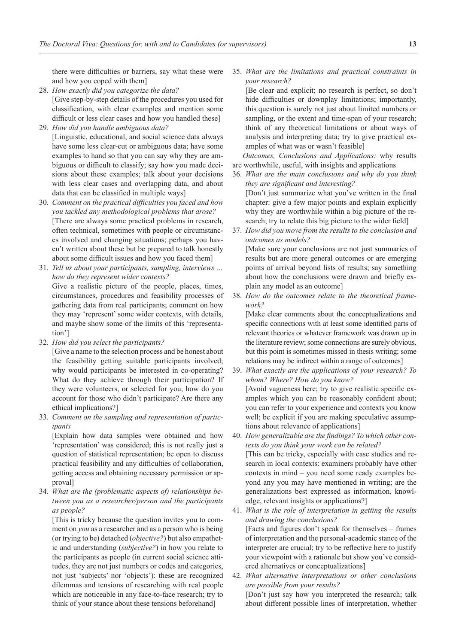there were difficulties or barriers, say what these were and how you coped with them]

- 28. *How exactly did you categorize the data?* [Give step-by-step details of the procedures you used for classification, with clear examples and mention some difficult or less clear cases and how you handled these]
- 29. *How did you handle ambiguous data?* [Linguistic, educational, and social science data always have some less clear-cut or ambiguous data; have some examples to hand so that you can say why they are ambiguous or difficult to classify; say how you made decisions about these examples; talk about your decisions with less clear cases and overlapping data, and about data that can be classified in multiple ways]
- 30. *Comment on the practical difficulties you faced and how you tackled any methodological problems that arose?* [There are always some practical problems in research, often technical, sometimes with people or circumstances involved and changing situations; perhaps you haven't written about these but be prepared to talk honestly about some difficult issues and how you faced them]
- 31. *Tell us about your participants, sampling, interviews … how do they represent wider contexts?* Give a realistic picture of the people, places, times, circumstances, procedures and feasibility processes of gathering data from real participants; comment on how they may 'represent' some wider contexts, with details, and maybe show some of the limits of this 'representation']
- 32. *How did you select the participants?*

[Give a name to the selection process and be honest about the feasibility getting suitable participants involved; why would participants be interested in co-operating? What do they achieve through their participation? If they were volunteers, or selected for you, how do you account for those who didn't participate? Are there any ethical implications?]

33. *Comment on the sampling and representation of participants*

[Explain how data samples were obtained and how 'representation' was considered; this is not really just a question of statistical representation; be open to discuss practical feasibility and any difficulties of collaboration, getting access and obtaining necessary permission or approval]

34. *What are the (problematic aspects of) relationships between you as a researcher/person and the participants as people?*

[This is tricky because the question invites you to comment on *you* as a researcher and as a person who is being (or trying to be) detached (*objective?*) but also empathetic and understanding (*subjective?*) in how you relate to the participants as people (in current social science attitudes, they are not just numbers or codes and categories, not just 'subjects' nor 'objects'): these are recognized dilemmas and tensions of researching with real people which are noticeable in any face-to-face research; try to think of your stance about these tensions beforehand]

35. *What are the limitations and practical constraints in your research?*

[Be clear and explicit; no research is perfect, so don't hide difficulties or downplay limitations; importantly, this question is surely not just about limited numbers or sampling, or the extent and time-span of your research; think of any theoretical limitations or about ways of analysis and interpreting data; try to give practical examples of what was or wasn't feasible]

*Outcomes, Conclusions and Applications:* why results are worthwhile, useful, with insights and applications

- 36. *What are the main conclusions and why do you think they are significant and interesting?* [Don't just summarize what you've written in the final chapter: give a few major points and explain explicitly why they are worthwhile within a big picture of the research; try to relate this big picture to the wider field]
- 37. *How did you move from the results to the conclusion and outcomes as models?*

[Make sure your conclusions are not just summaries of results but are more general outcomes or are emerging points of arrival beyond lists of results; say something about how the conclusions were drawn and briefly explain any model as an outcome]

38. *How do the outcomes relate to the theoretical framework?*

[Make clear comments about the conceptualizations and specific connections with at least some identified parts of relevant theories or whatever framework was drawn up in the literature review; some connections are surely obvious, but this point is sometimes missed in thesis writing; some relations may be indirect within a range of outcomes]

- 39. *What exactly are the applications of your research? To whom? Where? How do you know?* [Avoid vagueness here; try to give realistic specific examples which you can be reasonably confident about; you can refer to your experience and contexts you know well; be explicit if you are making speculative assumptions about relevance of applications]
- 40. *How generalizable are the findings? To which other contexts do you think your work can be related?* [This can be tricky, especially with case studies and research in local contexts: examiners probably have other contexts in mind – you need some ready examples beyond any you may have mentioned in writing; are the generalizations best expressed as information, knowledge, relevant insights or applications?]
- 41. *What is the role of interpretation in getting the results and drawing the conclusions?* [Facts and figures don't speak for themselves – frames of interpretation and the personal-academic stance of the interpreter are crucial; try to be reflective here to justify your viewpoint with a rationale but show you've considered alternatives or conceptualizations]
- 42. *What alternative interpretations or other conclusions are possible from your results?*

[Don't just say how you interpreted the research; talk about different possible lines of interpretation, whether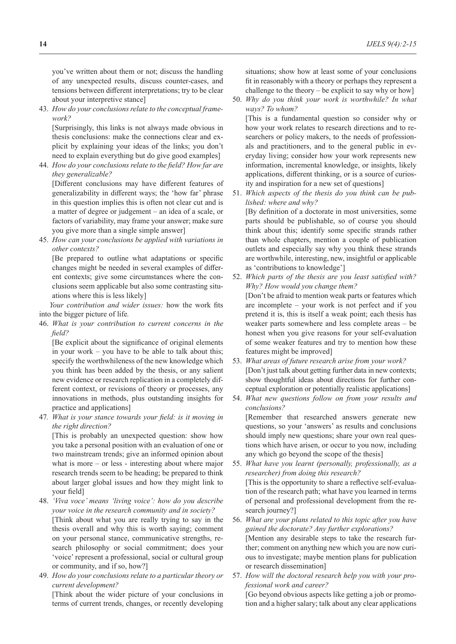you've written about them or not; discuss the handling of any unexpected results, discuss counter-cases, and tensions between different interpretations; try to be clear about your interpretive stance]

43. *How do your conclusions relate to the conceptual framework?*

[Surprisingly, this links is not always made obvious in thesis conclusions: make the connections clear and explicit by explaining your ideas of the links; you don't need to explain everything but do give good examples]

44. *How do your conclusions relate to the field? How far are they generalizable?*

[Different conclusions may have different features of generalizability in different ways; the 'how far' phrase in this question implies this is often not clear cut and is a matter of degree or judgement – an idea of a scale, or factors of variability, may frame your answer; make sure you give more than a single simple answer]

45. *How can your conclusions be applied with variations in other contexts?*

[Be prepared to outline what adaptations or specific changes might be needed in several examples of different contexts; give some circumstances where the conclusions seem applicable but also some contrasting situations where this is less likely]

*Your contribution and wider issues:* how the work fits into the bigger picture of life*.*

46. *What is your contribution to current concerns in the field?*

[Be explicit about the significance of original elements in your work – you have to be able to talk about this; specify the worthwhileness of the new knowledge which you think has been added by the thesis, or any salient new evidence or research replication in a completely different context, or revisions of theory or processes, any innovations in methods, plus outstanding insights for practice and applications]

47*. What is your stance towards your field: is it moving in the right direction?*

[This is probably an unexpected question: show how you take a personal position with an evaluation of one or two mainstream trends; give an informed opinion about what is more – or less - interesting about where major research trends seem to be heading; be prepared to think about larger global issues and how they might link to your field]

- 48. *'Viva voce' means 'living voice': how do you describe your voice in the research community and in society?* [Think about what you are really trying to say in the thesis overall and why this is worth saying; comment on your personal stance, communicative strengths, research philosophy or social commitment; does your 'voice' represent a professional, social or cultural group or community, and if so, how?]
- 49. *How do your conclusions relate to a particular theory or current development?*

[Think about the wider picture of your conclusions in terms of current trends, changes, or recently developing situations; show how at least some of your conclusions fit in reasonably with a theory or perhaps they represent a challenge to the theory – be explicit to say why or how]

50. *Why do you think your work is worthwhile? In what ways? To whom?*

[This is a fundamental question so consider why or how your work relates to research directions and to researchers or policy makers, to the needs of professionals and practitioners, and to the general public in everyday living; consider how your work represents new information, incremental knowledge, or insights, likely applications, different thinking, or is a source of curiosity and inspiration for a new set of questions]

51. *Which aspects of the thesis do you think can be published: where and why?*

[By definition of a doctorate in most universities, some parts should be publishable, so of course you should think about this; identify some specific strands rather than whole chapters, mention a couple of publication outlets and especially say why you think these strands are worthwhile, interesting, new, insightful or applicable as 'contributions to knowledge']

- 52. *Which parts of the thesis are you least satisfied with? Why? How would you change them?* [Don't be afraid to mention weak parts or features which are incomplete – your work is not perfect and if you pretend it is, this is itself a weak point; each thesis has weaker parts somewhere and less complete areas – be honest when you give reasons for your self-evaluation of some weaker features and try to mention how these features might be improved]
- 53. *What areas of future research arise from your work?* [Don't just talk about getting further data in new contexts; show thoughtful ideas about directions for further conceptual exploration or potentially realistic applications]
- 54. *What new questions follow on from your results and conclusions?*

[Remember that researched answers generate new questions, so your 'answers' as results and conclusions should imply new questions; share your own real questions which have arisen, or occur to you now, including any which go beyond the scope of the thesis]

- 55. *What have you learnt (personally, professionally, as a researcher) from doing this research?* [This is the opportunity to share a reflective self-evaluation of the research path; what have you learned in terms of personal and professional development from the research journey?]
- 56. *What are your plans related to this topic after you have gained the doctorate? Any further explorations?* [Mention any desirable steps to take the research further; comment on anything new which you are now curious to investigate; maybe mention plans for publication or research dissemination]
- 57. *How will the doctoral research help you with your professional work and career?*

[Go beyond obvious aspects like getting a job or promotion and a higher salary; talk about any clear applications